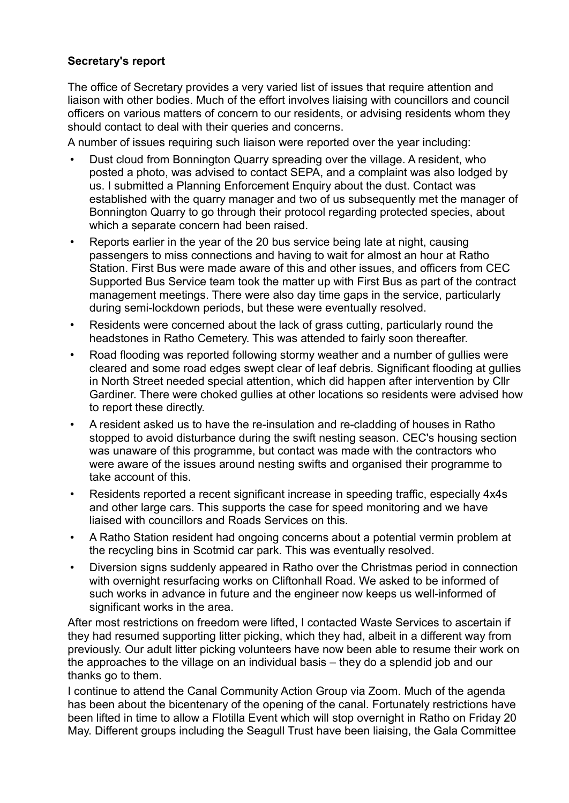## **Secretary's report**

The office of Secretary provides a very varied list of issues that require attention and liaison with other bodies. Much of the effort involves liaising with councillors and council officers on various matters of concern to our residents, or advising residents whom they should contact to deal with their queries and concerns.

A number of issues requiring such liaison were reported over the year including:

- Dust cloud from Bonnington Quarry spreading over the village. A resident, who posted a photo, was advised to contact SEPA, and a complaint was also lodged by us. I submitted a Planning Enforcement Enquiry about the dust. Contact was established with the quarry manager and two of us subsequently met the manager of Bonnington Quarry to go through their protocol regarding protected species, about which a separate concern had been raised.
- Reports earlier in the year of the 20 bus service being late at night, causing passengers to miss connections and having to wait for almost an hour at Ratho Station. First Bus were made aware of this and other issues, and officers from CEC Supported Bus Service team took the matter up with First Bus as part of the contract management meetings. There were also day time gaps in the service, particularly during semi-lockdown periods, but these were eventually resolved.
- Residents were concerned about the lack of grass cutting, particularly round the headstones in Ratho Cemetery. This was attended to fairly soon thereafter.
- Road flooding was reported following stormy weather and a number of gullies were cleared and some road edges swept clear of leaf debris. Significant flooding at gullies in North Street needed special attention, which did happen after intervention by Cllr Gardiner. There were choked gullies at other locations so residents were advised how to report these directly.
- A resident asked us to have the re-insulation and re-cladding of houses in Ratho stopped to avoid disturbance during the swift nesting season. CEC's housing section was unaware of this programme, but contact was made with the contractors who were aware of the issues around nesting swifts and organised their programme to take account of this.
- Residents reported a recent significant increase in speeding traffic, especially 4x4s and other large cars. This supports the case for speed monitoring and we have liaised with councillors and Roads Services on this.
- A Ratho Station resident had ongoing concerns about a potential vermin problem at the recycling bins in Scotmid car park. This was eventually resolved.
- Diversion signs suddenly appeared in Ratho over the Christmas period in connection with overnight resurfacing works on Cliftonhall Road. We asked to be informed of such works in advance in future and the engineer now keeps us well-informed of significant works in the area.

After most restrictions on freedom were lifted, I contacted Waste Services to ascertain if they had resumed supporting litter picking, which they had, albeit in a different way from previously. Our adult litter picking volunteers have now been able to resume their work on the approaches to the village on an individual basis – they do a splendid job and our thanks go to them.

I continue to attend the Canal Community Action Group via Zoom. Much of the agenda has been about the bicentenary of the opening of the canal. Fortunately restrictions have been lifted in time to allow a Flotilla Event which will stop overnight in Ratho on Friday 20 May. Different groups including the Seagull Trust have been liaising, the Gala Committee